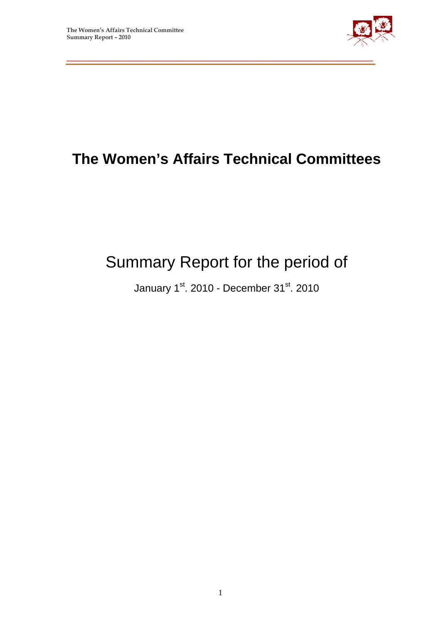

# **The Women's Affairs Technical Committees**

\_\_\_\_\_\_\_\_\_\_\_\_\_\_\_\_\_\_\_\_\_\_\_\_\_\_\_\_\_\_\_\_\_\_\_\_\_\_\_\_\_\_\_\_\_\_\_\_\_\_\_\_\_\_\_\_\_

# Summary Report for the period of

January 1st. 2010 - December 31st. 2010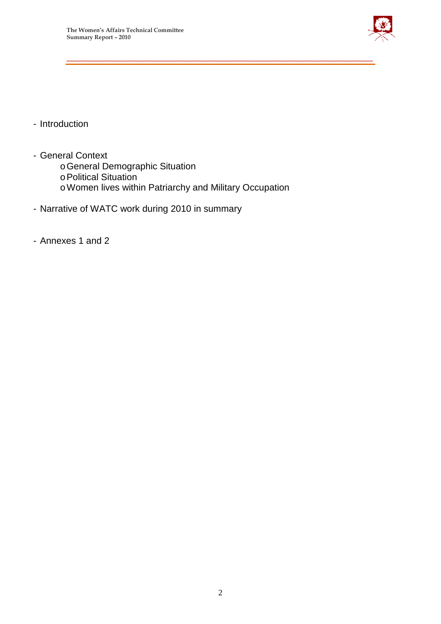

- Introduction
- General Context
	- oGeneral Demographic Situation
	- oPolitical Situation
	- oWomen lives within Patriarchy and Military Occupation

\_\_\_\_\_\_\_\_\_\_\_\_\_\_\_\_\_\_\_\_\_\_\_\_\_\_\_\_\_\_\_\_\_\_\_\_\_\_\_\_\_\_\_\_\_\_\_\_\_\_\_\_\_\_\_\_\_

- Narrative of WATC work during 2010 in summary
- Annexes 1 and 2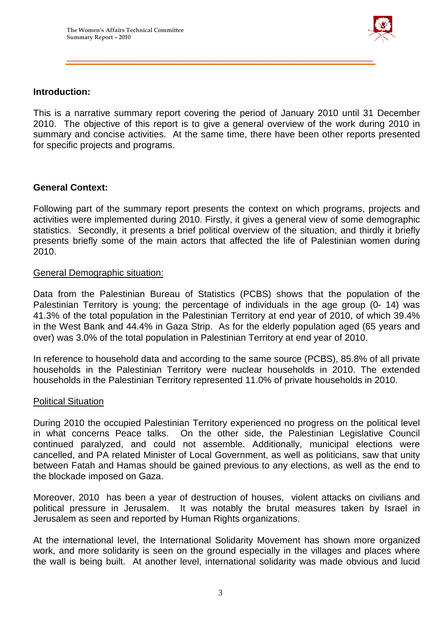

#### **Introduction:**

This is a narrative summary report covering the period of January 2010 until 31 December 2010. The objective of this report is to give a general overview of the work during 2010 in summary and concise activities. At the same time, there have been other reports presented for specific projects and programs.

\_\_\_\_\_\_\_\_\_\_\_\_\_\_\_\_\_\_\_\_\_\_\_\_\_\_\_\_\_\_\_\_\_\_\_\_\_\_\_\_\_\_\_\_\_\_\_\_\_\_\_\_\_\_\_\_\_

#### **General Context:**

Following part of the summary report presents the context on which programs, projects and activities were implemented during 2010. Firstly, it gives a general view of some demographic statistics. Secondly, it presents a brief political overview of the situation, and thirdly it briefly presents briefly some of the main actors that affected the life of Palestinian women during 2010.

#### General Demographic situation:

Data from the Palestinian Bureau of Statistics (PCBS) shows that the population of the Palestinian Territory is young; the percentage of individuals in the age group (0- 14) was 41.3% of the total population in the Palestinian Territory at end year of 2010, of which 39.4% in the West Bank and 44.4% in Gaza Strip. As for the elderly population aged (65 years and over) was 3.0% of the total population in Palestinian Territory at end year of 2010.

In reference to household data and according to the same source (PCBS), 85.8% of all private households in the Palestinian Territory were nuclear households in 2010. The extended households in the Palestinian Territory represented 11.0% of private households in 2010.

#### Political Situation

During 2010 the occupied Palestinian Territory experienced no progress on the political level in what concerns Peace talks. On the other side, the Palestinian Legislative Council continued paralyzed, and could not assemble. Additionally, municipal elections were cancelled, and PA related Minister of Local Government, as well as politicians, saw that unity between Fatah and Hamas should be gained previous to any elections, as well as the end to the blockade imposed on Gaza.

Moreover, 2010 has been a year of destruction of houses, violent attacks on civilians and political pressure in Jerusalem. It was notably the brutal measures taken by Israel in Jerusalem as seen and reported by Human Rights organizations.

At the international level, the International Solidarity Movement has shown more organized work, and more solidarity is seen on the ground especially in the villages and places where the wall is being built. At another level, international solidarity was made obvious and lucid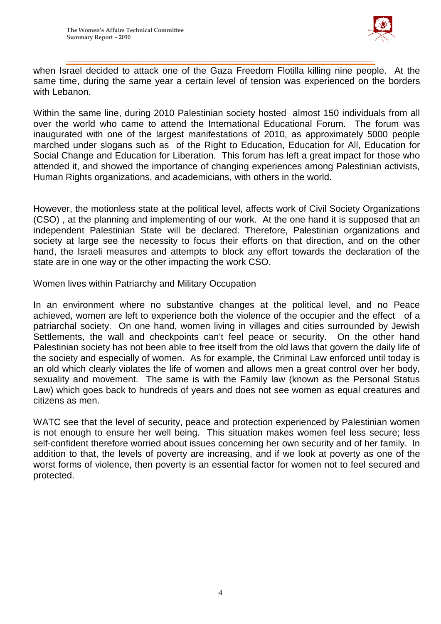

when Israel decided to attack one of the Gaza Freedom Flotilla killing nine people. At the same time, during the same year a certain level of tension was experienced on the borders with Lebanon.

\_\_\_\_\_\_\_\_\_\_\_\_\_\_\_\_\_\_\_\_\_\_\_\_\_\_\_\_\_\_\_\_\_\_\_\_\_\_\_\_\_\_\_\_\_\_\_\_\_\_\_\_\_\_\_\_\_

Within the same line, during 2010 Palestinian society hosted almost 150 individuals from all over the world who came to attend the International Educational Forum. The forum was inaugurated with one of the largest manifestations of 2010, as approximately 5000 people marched under slogans such as of the Right to Education, Education for All, Education for Social Change and Education for Liberation. This forum has left a great impact for those who attended it, and showed the importance of changing experiences among Palestinian activists, Human Rights organizations, and academicians, with others in the world.

However, the motionless state at the political level, affects work of Civil Society Organizations (CSO) , at the planning and implementing of our work. At the one hand it is supposed that an independent Palestinian State will be declared. Therefore, Palestinian organizations and society at large see the necessity to focus their efforts on that direction, and on the other hand, the Israeli measures and attempts to block any effort towards the declaration of the state are in one way or the other impacting the work CSO.

#### Women lives within Patriarchy and Military Occupation

In an environment where no substantive changes at the political level, and no Peace achieved, women are left to experience both the violence of the occupier and the effect of a patriarchal society. On one hand, women living in villages and cities surrounded by Jewish Settlements, the wall and checkpoints can't feel peace or security. On the other hand Palestinian society has not been able to free itself from the old laws that govern the daily life of the society and especially of women. As for example, the Criminal Law enforced until today is an old which clearly violates the life of women and allows men a great control over her body, sexuality and movement. The same is with the Family law (known as the Personal Status Law) which goes back to hundreds of years and does not see women as equal creatures and citizens as men.

WATC see that the level of security, peace and protection experienced by Palestinian women is not enough to ensure her well being. This situation makes women feel less secure; less self-confident therefore worried about issues concerning her own security and of her family. In addition to that, the levels of poverty are increasing, and if we look at poverty as one of the worst forms of violence, then poverty is an essential factor for women not to feel secured and protected.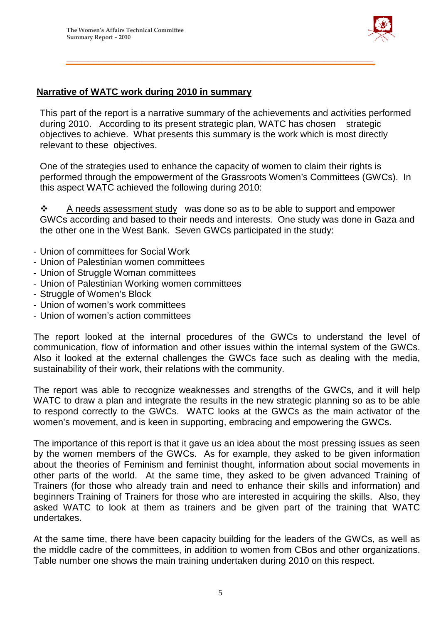

#### **Narrative of WATC work during 2010 in summary**

This part of the report is a narrative summary of the achievements and activities performed during 2010. According to its present strategic plan, WATC has chosen strategic objectives to achieve. What presents this summary is the work which is most directly relevant to these objectives.

\_\_\_\_\_\_\_\_\_\_\_\_\_\_\_\_\_\_\_\_\_\_\_\_\_\_\_\_\_\_\_\_\_\_\_\_\_\_\_\_\_\_\_\_\_\_\_\_\_\_\_\_\_\_\_\_\_

One of the strategies used to enhance the capacity of women to claim their rights is performed through the empowerment of the Grassroots Women's Committees (GWCs). In this aspect WATC achieved the following during 2010:

 $\mathbf{\hat{P}}$  A needs assessment study was done so as to be able to support and empower GWCs according and based to their needs and interests. One study was done in Gaza and the other one in the West Bank. Seven GWCs participated in the study:

- Union of committees for Social Work
- Union of Palestinian women committees
- Union of Struggle Woman committees
- Union of Palestinian Working women committees
- Struggle of Women's Block
- Union of women's work committees
- Union of women's action committees

The report looked at the internal procedures of the GWCs to understand the level of communication, flow of information and other issues within the internal system of the GWCs. Also it looked at the external challenges the GWCs face such as dealing with the media, sustainability of their work, their relations with the community.

The report was able to recognize weaknesses and strengths of the GWCs, and it will help WATC to draw a plan and integrate the results in the new strategic planning so as to be able to respond correctly to the GWCs. WATC looks at the GWCs as the main activator of the women's movement, and is keen in supporting, embracing and empowering the GWCs.

The importance of this report is that it gave us an idea about the most pressing issues as seen by the women members of the GWCs. As for example, they asked to be given information about the theories of Feminism and feminist thought, information about social movements in other parts of the world. At the same time, they asked to be given advanced Training of Trainers (for those who already train and need to enhance their skills and information) and beginners Training of Trainers for those who are interested in acquiring the skills. Also, they asked WATC to look at them as trainers and be given part of the training that WATC undertakes.

At the same time, there have been capacity building for the leaders of the GWCs, as well as the middle cadre of the committees, in addition to women from CBos and other organizations. Table number one shows the main training undertaken during 2010 on this respect.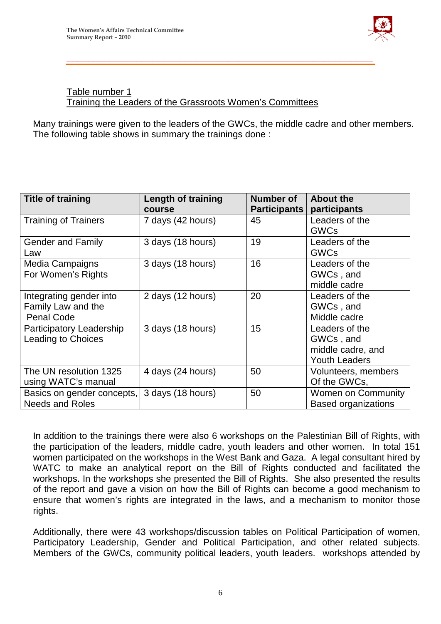

#### Table number 1 Training the Leaders of the Grassroots Women's Committees

Many trainings were given to the leaders of the GWCs, the middle cadre and other members. The following table shows in summary the trainings done :

\_\_\_\_\_\_\_\_\_\_\_\_\_\_\_\_\_\_\_\_\_\_\_\_\_\_\_\_\_\_\_\_\_\_\_\_\_\_\_\_\_\_\_\_\_\_\_\_\_\_\_\_\_\_\_\_\_

| <b>Title of training</b>                                           | <b>Length of training</b><br>course | <b>Number of</b><br>Participants | <b>About the</b><br>participants                                         |
|--------------------------------------------------------------------|-------------------------------------|----------------------------------|--------------------------------------------------------------------------|
| <b>Training of Trainers</b>                                        | 7 days (42 hours)                   | 45                               | Leaders of the<br><b>GWCs</b>                                            |
| <b>Gender and Family</b><br>Law                                    | 3 days (18 hours)                   | 19                               | Leaders of the<br><b>GWCs</b>                                            |
| <b>Media Campaigns</b><br>For Women's Rights                       | 3 days (18 hours)                   | 16                               | Leaders of the<br>GWCs, and<br>middle cadre                              |
| Integrating gender into<br>Family Law and the<br><b>Penal Code</b> | 2 days (12 hours)                   | 20                               | Leaders of the<br>GWCs, and<br>Middle cadre                              |
| Participatory Leadership<br><b>Leading to Choices</b>              | 3 days (18 hours)                   | 15                               | Leaders of the<br>GWCs, and<br>middle cadre, and<br><b>Youth Leaders</b> |
| The UN resolution 1325<br>using WATC's manual                      | 4 days (24 hours)                   | 50                               | Volunteers, members<br>Of the GWCs,                                      |
| Basics on gender concepts,<br><b>Needs and Roles</b>               | 3 days (18 hours)                   | 50                               | <b>Women on Community</b><br><b>Based organizations</b>                  |

In addition to the trainings there were also 6 workshops on the Palestinian Bill of Rights, with the participation of the leaders, middle cadre, youth leaders and other women. In total 151 women participated on the workshops in the West Bank and Gaza. A legal consultant hired by WATC to make an analytical report on the Bill of Rights conducted and facilitated the workshops. In the workshops she presented the Bill of Rights. She also presented the results of the report and gave a vision on how the Bill of Rights can become a good mechanism to ensure that women's rights are integrated in the laws, and a mechanism to monitor those rights.

Additionally, there were 43 workshops/discussion tables on Political Participation of women, Participatory Leadership, Gender and Political Participation, and other related subjects. Members of the GWCs, community political leaders, youth leaders. workshops attended by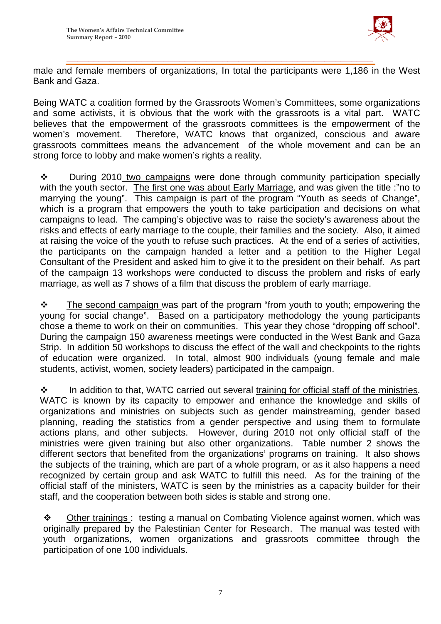

male and female members of organizations, In total the participants were 1,186 in the West Bank and Gaza.

\_\_\_\_\_\_\_\_\_\_\_\_\_\_\_\_\_\_\_\_\_\_\_\_\_\_\_\_\_\_\_\_\_\_\_\_\_\_\_\_\_\_\_\_\_\_\_\_\_\_\_\_\_\_\_\_\_

Being WATC a coalition formed by the Grassroots Women's Committees, some organizations and some activists, it is obvious that the work with the grassroots is a vital part. WATC believes that the empowerment of the grassroots committees is the empowerment of the women's movement. Therefore, WATC knows that organized, conscious and aware grassroots committees means the advancement of the whole movement and can be an strong force to lobby and make women's rights a reality.

 $\div$  During 2010 two campaigns were done through community participation specially with the youth sector. The first one was about Early Marriage, and was given the title :"no to marrying the young". This campaign is part of the program "Youth as seeds of Change", which is a program that empowers the youth to take participation and decisions on what campaigns to lead. The camping's objective was to raise the society's awareness about the risks and effects of early marriage to the couple, their families and the society. Also, it aimed at raising the voice of the youth to refuse such practices. At the end of a series of activities, the participants on the campaign handed a letter and a petition to the Higher Legal Consultant of the President and asked him to give it to the president on their behalf. As part of the campaign 13 workshops were conducted to discuss the problem and risks of early marriage, as well as 7 shows of a film that discuss the problem of early marriage.

 $\cdot \cdot$  The second campaign was part of the program "from youth to youth; empowering the young for social change". Based on a participatory methodology the young participants chose a theme to work on their on communities. This year they chose "dropping off school". During the campaign 150 awareness meetings were conducted in the West Bank and Gaza Strip. In addition 50 workshops to discuss the effect of the wall and checkpoints to the rights of education were organized. In total, almost 900 individuals (young female and male students, activist, women, society leaders) participated in the campaign.

 $\cdot \cdot$  In addition to that, WATC carried out several training for official staff of the ministries. WATC is known by its capacity to empower and enhance the knowledge and skills of organizations and ministries on subjects such as gender mainstreaming, gender based planning, reading the statistics from a gender perspective and using them to formulate actions plans, and other subjects. However, during 2010 not only official staff of the ministries were given training but also other organizations. Table number 2 shows the different sectors that benefited from the organizations' programs on training. It also shows the subjects of the training, which are part of a whole program, or as it also happens a need recognized by certain group and ask WATC to fulfill this need. As for the training of the official staff of the ministers, WATC is seen by the ministries as a capacity builder for their staff, and the cooperation between both sides is stable and strong one.

 Other trainings : testing a manual on Combating Violence against women, which was originally prepared by the Palestinian Center for Research. The manual was tested with youth organizations, women organizations and grassroots committee through the participation of one 100 individuals.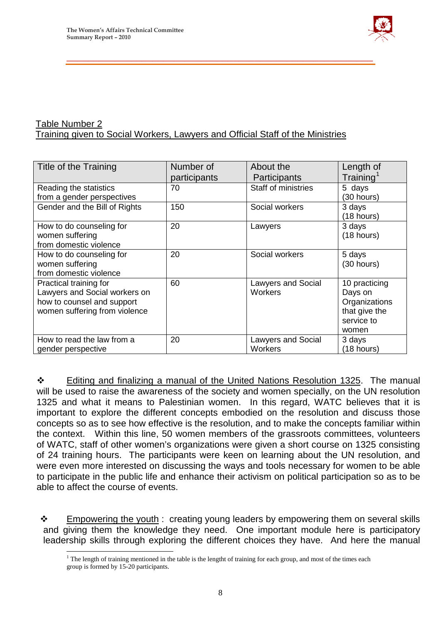

#### Table Number 2 Training given to Social Workers, Lawyers and Official Staff of the Ministries

| Title of the Training                                                                                                  | Number of<br>participants | About the<br>Participants                   | Length of<br>Training <sup>1</sup>                                                |
|------------------------------------------------------------------------------------------------------------------------|---------------------------|---------------------------------------------|-----------------------------------------------------------------------------------|
| Reading the statistics<br>from a gender perspectives                                                                   | 70                        | Staff of ministries                         | 5 days<br>(30 hours)                                                              |
| Gender and the Bill of Rights                                                                                          | 150                       | Social workers                              | 3 days<br>(18 hours)                                                              |
| How to do counseling for<br>women suffering<br>from domestic violence                                                  | 20                        | Lawyers                                     | 3 days<br>(18 hours)                                                              |
| How to do counseling for<br>women suffering<br>from domestic violence                                                  | 20                        | Social workers                              | 5 days<br>(30 hours)                                                              |
| Practical training for<br>Lawyers and Social workers on<br>how to counsel and support<br>women suffering from violence | 60                        | <b>Lawyers and Social</b><br><b>Workers</b> | 10 practicing<br>Days on<br>Organizations<br>that give the<br>service to<br>women |
| How to read the law from a<br>gender perspective                                                                       | 20                        | <b>Lawyers and Social</b><br><b>Workers</b> | 3 days<br>(18 hours)                                                              |

\_\_\_\_\_\_\_\_\_\_\_\_\_\_\_\_\_\_\_\_\_\_\_\_\_\_\_\_\_\_\_\_\_\_\_\_\_\_\_\_\_\_\_\_\_\_\_\_\_\_\_\_\_\_\_\_\_

\* Editing and finalizing a manual of the United Nations Resolution 1325. The manual will be used to raise the awareness of the society and women specially, on the UN resolution 1325 and what it means to Palestinian women. In this regard, WATC believes that it is important to explore the different concepts embodied on the resolution and discuss those concepts so as to see how effective is the resolution, and to make the concepts familiar within the context. Within this line, 50 women members of the grassroots committees, volunteers of WATC, staff of other women's organizations were given a short course on 1325 consisting of 24 training hours. The participants were keen on learning about the UN resolution, and were even more interested on discussing the ways and tools necessary for women to be able to participate in the public life and enhance their activism on political participation so as to be able to affect the course of events.

 $\div$  Empowering the youth : creating young leaders by empowering them on several skills and giving them the knowledge they need. One important module here is participatory leadership skills through exploring the different choices they have. And here the manual

 $<sup>1</sup>$  The length of training mentioned in the table is the lengtht of training for each group, and most of the times each</sup> group is formed by 15-20 participants.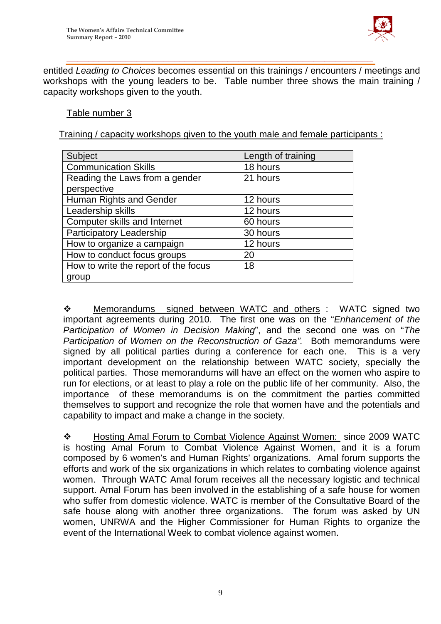

entitled *Leading to Choices* becomes essential on this trainings / encounters / meetings and workshops with the young leaders to be. Table number three shows the main training / capacity workshops given to the youth.

Table number 3

Training / capacity workshops given to the youth male and female participants :

\_\_\_\_\_\_\_\_\_\_\_\_\_\_\_\_\_\_\_\_\_\_\_\_\_\_\_\_\_\_\_\_\_\_\_\_\_\_\_\_\_\_\_\_\_\_\_\_\_\_\_\_\_\_\_\_\_

| Subject                              | Length of training |
|--------------------------------------|--------------------|
| <b>Communication Skills</b>          | 18 hours           |
| Reading the Laws from a gender       | 21 hours           |
| perspective                          |                    |
| Human Rights and Gender              | 12 hours           |
| Leadership skills                    | 12 hours           |
| Computer skills and Internet         | 60 hours           |
| Participatory Leadership             | 30 hours           |
| How to organize a campaign           | 12 hours           |
| How to conduct focus groups          | 20                 |
| How to write the report of the focus | 18                 |
| group                                |                    |

\* Memorandums signed between WATC and others : WATC signed two important agreements during 2010. The first one was on the "*Enhancement of the Participation of Women in Decision Making*", and the second one was on "*The Participation of Women on the Reconstruction of Gaza".* Both memorandums were signed by all political parties during a conference for each one. This is a very important development on the relationship between WATC society, specially the political parties. Those memorandums will have an effect on the women who aspire to run for elections, or at least to play a role on the public life of her community. Also, the importance of these memorandums is on the commitment the parties committed themselves to support and recognize the role that women have and the potentials and capability to impact and make a change in the society.

\* Hosting Amal Forum to Combat Violence Against Women: since 2009 WATC is hosting Amal Forum to Combat Violence Against Women, and it is a forum composed by 6 women's and Human Rights' organizations. Amal forum supports the efforts and work of the six organizations in which relates to combating violence against women. Through WATC Amal forum receives all the necessary logistic and technical support. Amal Forum has been involved in the establishing of a safe house for women who suffer from domestic violence. WATC is member of the Consultative Board of the safe house along with another three organizations. The forum was asked by UN women, UNRWA and the Higher Commissioner for Human Rights to organize the event of the International Week to combat violence against women.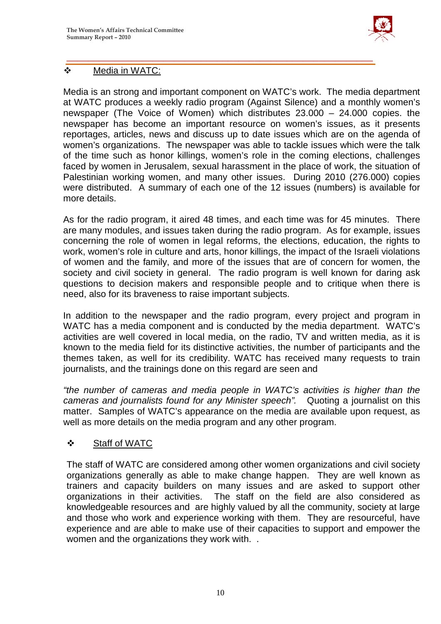

## Media in WATC:

Media is an strong and important component on WATC's work. The media department at WATC produces a weekly radio program (Against Silence) and a monthly women's newspaper (The Voice of Women) which distributes 23.000 – 24.000 copies. the newspaper has become an important resource on women's issues, as it presents reportages, articles, news and discuss up to date issues which are on the agenda of women's organizations. The newspaper was able to tackle issues which were the talk of the time such as honor killings, women's role in the coming elections, challenges faced by women in Jerusalem, sexual harassment in the place of work, the situation of Palestinian working women, and many other issues. During 2010 (276.000) copies were distributed. A summary of each one of the 12 issues (numbers) is available for more details.

\_\_\_\_\_\_\_\_\_\_\_\_\_\_\_\_\_\_\_\_\_\_\_\_\_\_\_\_\_\_\_\_\_\_\_\_\_\_\_\_\_\_\_\_\_\_\_\_\_\_\_\_\_\_\_\_\_

As for the radio program, it aired 48 times, and each time was for 45 minutes. There are many modules, and issues taken during the radio program. As for example, issues concerning the role of women in legal reforms, the elections, education, the rights to work, women's role in culture and arts, honor killings, the impact of the Israeli violations of women and the family, and more of the issues that are of concern for women, the society and civil society in general. The radio program is well known for daring ask questions to decision makers and responsible people and to critique when there is need, also for its braveness to raise important subjects.

In addition to the newspaper and the radio program, every project and program in WATC has a media component and is conducted by the media department. WATC's activities are well covered in local media, on the radio, TV and written media, as it is known to the media field for its distinctive activities, the number of participants and the themes taken, as well for its credibility. WATC has received many requests to train journalists, and the trainings done on this regard are seen and

*"the number of cameras and media people in WATC's activities is higher than the cameras and journalists found for any Minister speech".* Quoting a journalist on this matter. Samples of WATC's appearance on the media are available upon request, as well as more details on the media program and any other program.

## Staff of WATC

The staff of WATC are considered among other women organizations and civil society organizations generally as able to make change happen. They are well known as trainers and capacity builders on many issues and are asked to support other organizations in their activities. The staff on the field are also considered as knowledgeable resources and are highly valued by all the community, society at large and those who work and experience working with them. They are resourceful, have experience and are able to make use of their capacities to support and empower the women and the organizations they work with. .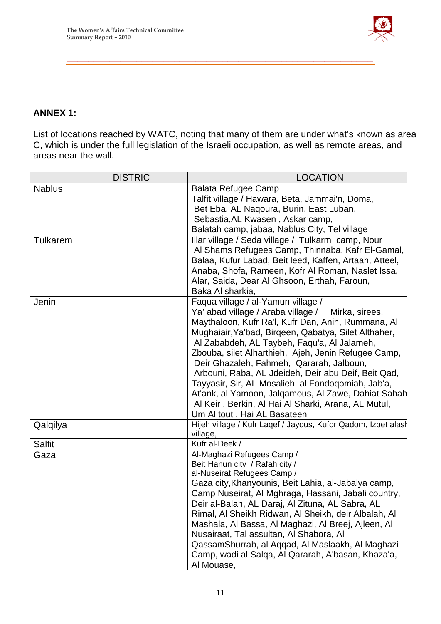

## **ANNEX 1:**

List of locations reached by WATC, noting that many of them are under what's known as area C, which is under the full legislation of the Israeli occupation, as well as remote areas, and areas near the wall.

\_\_\_\_\_\_\_\_\_\_\_\_\_\_\_\_\_\_\_\_\_\_\_\_\_\_\_\_\_\_\_\_\_\_\_\_\_\_\_\_\_\_\_\_\_\_\_\_\_\_\_\_\_\_\_\_\_

| <b>DISTRIC</b>  | <b>LOCATION</b>                                               |
|-----------------|---------------------------------------------------------------|
| <b>Nablus</b>   | <b>Balata Refugee Camp</b>                                    |
|                 | Talfit village / Hawara, Beta, Jammai'n, Doma,                |
|                 | Bet Eba, AL Nagoura, Burin, East Luban,                       |
|                 | Sebastia, AL Kwasen, Askar camp,                              |
|                 | Balatah camp, jabaa, Nablus City, Tel village                 |
| <b>Tulkarem</b> | Illar village / Seda village / Tulkarm camp, Nour             |
|                 | Al Shams Refugees Camp, Thinnaba, Kafr El-Gamal,              |
|                 | Balaa, Kufur Labad, Beit leed, Kaffen, Artaah, Atteel,        |
|                 | Anaba, Shofa, Rameen, Kofr Al Roman, Naslet Issa,             |
|                 | Alar, Saida, Dear Al Ghsoon, Erthah, Faroun,                  |
|                 | Baka Al sharkia,                                              |
| Jenin           | Faqua village / al-Yamun village /                            |
|                 | Ya' abad village / Araba village /<br>Mirka, sirees,          |
|                 | Maythaloon, Kufr Ra'l, Kufr Dan, Anin, Rummana, Al            |
|                 | Mughaiair, Ya'bad, Birgeen, Qabatya, Silet Althaher,          |
|                 | Al Zababdeh, AL Taybeh, Faqu'a, Al Jalameh,                   |
|                 | Zbouba, silet Alharthieh, Ajeh, Jenin Refugee Camp,           |
|                 | Deir Ghazaleh, Fahmeh, Qararah, Jalboun,                      |
|                 | Arbouni, Raba, AL Jdeideh, Deir abu Deif, Beit Qad,           |
|                 | Tayyasir, Sir, AL Mosalieh, al Fondoqomiah, Jab'a,            |
|                 | At'ank, al Yamoon, Jalqamous, Al Zawe, Dahiat Sahah           |
|                 | Al Keir, Berkin, Al Hai Al Sharki, Arana, AL Mutul,           |
|                 | Um Al tout, Hai AL Basateen                                   |
| Qalqilya        | Hijeh village / Kufr Laqef / Jayous, Kufor Qadom, Izbet alash |
|                 | village,                                                      |
| <b>Salfit</b>   | Kufr al-Deek /                                                |
| Gaza            | Al-Maghazi Refugees Camp /                                    |
|                 | Beit Hanun city / Rafah city /                                |
|                 | al-Nuseirat Refugees Camp /                                   |
|                 | Gaza city, Khanyounis, Beit Lahia, al-Jabalya camp,           |
|                 | Camp Nuseirat, Al Mghraga, Hassani, Jabali country,           |
|                 | Deir al-Balah, AL Daraj, Al Zituna, AL Sabra, AL              |
|                 | Rimal, Al Sheikh Ridwan, Al Sheikh, deir Albalah, Al          |
|                 | Mashala, Al Bassa, Al Maghazi, Al Breej, Ajleen, Al           |
|                 | Nusairaat, Tal assultan, Al Shabora, Al                       |
|                 | Qassam Shurrab, al Aqqad, Al Maslaakh, Al Maghazi             |
|                 | Camp, wadi al Salqa, Al Qararah, A'basan, Khaza'a,            |
|                 | Al Mouase,                                                    |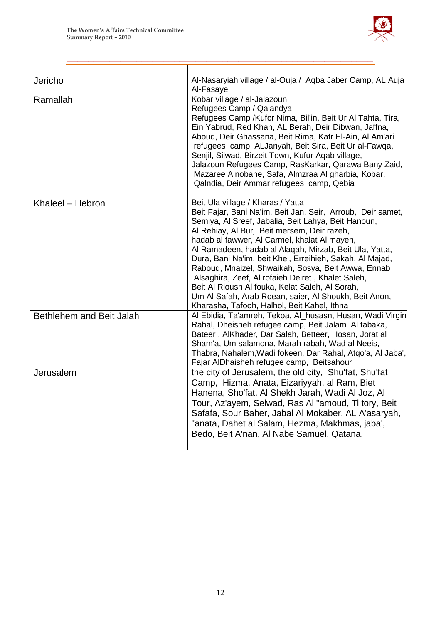

| Jericho                  | Al-Nasaryiah village / al-Ouja / Aqba Jaber Camp, AL Auja<br>Al-Fasayel                                                                                                                                                                                                                                                                                                                                                                                                                                                                                                                                                                             |
|--------------------------|-----------------------------------------------------------------------------------------------------------------------------------------------------------------------------------------------------------------------------------------------------------------------------------------------------------------------------------------------------------------------------------------------------------------------------------------------------------------------------------------------------------------------------------------------------------------------------------------------------------------------------------------------------|
| Ramallah                 | Kobar village / al-Jalazoun<br>Refugees Camp / Qalandya<br>Refugees Camp / Kufor Nima, Bil'in, Beit Ur Al Tahta, Tira,<br>Ein Yabrud, Red Khan, AL Berah, Deir Dibwan, Jaffna,<br>Aboud, Deir Ghassana, Beit Rima, Kafr El-Ain, Al Am'ari<br>refugees camp, ALJanyah, Beit Sira, Beit Ur al-Fawga,<br>Senjil, Silwad, Birzeit Town, Kufur Aqab village,<br>Jalazoun Refugees Camp, RasKarkar, Qarawa Bany Zaid,<br>Mazaree Alnobane, Safa, Almzraa Al gharbia, Kobar,<br>Qalndia, Deir Ammar refugees camp, Qebia                                                                                                                                   |
| Khaleel - Hebron         | Beit Ula village / Kharas / Yatta<br>Beit Fajar, Bani Na'im, Beit Jan, Seir, Arroub, Deir samet,<br>Semiya, Al Sreef, Jabalia, Beit Lahya, Beit Hanoun,<br>Al Rehiay, Al Burj, Beit mersem, Deir razeh,<br>hadab al fawwer, Al Carmel, khalat Al mayeh,<br>Al Ramadeen, hadab al Alaqah, Mirzab, Beit Ula, Yatta,<br>Dura, Bani Na'im, beit Khel, Erreihieh, Sakah, Al Majad,<br>Raboud, Mnaizel, Shwaikah, Sosya, Beit Awwa, Ennab<br>Alsaghira, Zeef, Al rofaieh Deiret, Khalet Saleh,<br>Beit Al Rloush Al fouka, Kelat Saleh, Al Sorah,<br>Um Al Safah, Arab Roean, saier, Al Shoukh, Beit Anon,<br>Kharasha, Tafooh, Halhol, Beit Kahel, Ithna |
| Bethlehem and Beit Jalah | Al Ebidia, Ta'amreh, Tekoa, Al_husasn, Husan, Wadi Virgin<br>Rahal, Dheisheh refugee camp, Beit Jalam Al tabaka,<br>Bateer, AlKhader, Dar Salah, Betteer, Hosan, Jorat al<br>Sham'a, Um salamona, Marah rabah, Wad al Neeis,<br>Thabra, Nahalem, Wadi fokeen, Dar Rahal, Atqo'a, Al Jaba',<br>Fajar AlDhaisheh refugee camp, Beitsahour                                                                                                                                                                                                                                                                                                             |
| Jerusalem                | the city of Jerusalem, the old city, Shu'fat, Shu'fat<br>Camp, Hizma, Anata, Eizariyyah, al Ram, Biet<br>Hanena, Sho'fat, Al Shekh Jarah, Wadi Al Joz, Al<br>Tour, Az'ayem, Selwad, Ras Al "amoud, TI tory, Beit<br>Safafa, Sour Baher, Jabal Al Mokaber, AL A'asaryah,<br>"anata, Dahet al Salam, Hezma, Makhmas, jaba',<br>Bedo, Beit A'nan, Al Nabe Samuel, Qatana,                                                                                                                                                                                                                                                                              |

\_\_\_\_\_\_\_\_\_\_\_\_\_\_\_\_\_\_\_\_\_\_\_\_\_\_\_\_\_\_\_\_\_\_\_\_\_\_\_\_\_\_\_\_\_\_\_\_\_\_\_\_\_\_\_\_\_